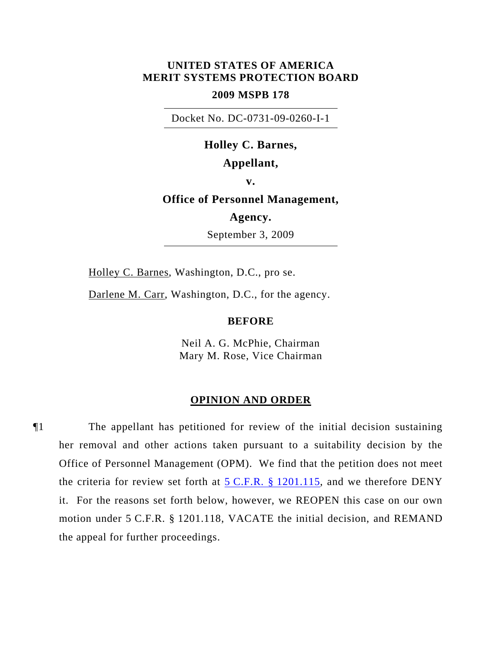## **UNITED STATES OF AMERICA MERIT SYSTEMS PROTECTION BOARD**

### **2009 MSPB 178**

Docket No. DC-0731-09-0260-I-1

# **Holley C. Barnes,**

## **Appellant,**

**v.** 

## **Office of Personnel Management,**

# **Agency.**

September 3, 2009

Holley C. Barnes, Washington, D.C., pro se.

Darlene M. Carr, Washington, D.C., for the agency.

### **BEFORE**

Neil A. G. McPhie, Chairman Mary M. Rose, Vice Chairman

#### **OPINION AND ORDER**

¶1 The appellant has petitioned for review of the initial decision sustaining her removal and other actions taken pursuant to a suitability decision by the Office of Personnel Management (OPM). We find that the petition does not meet the criteria for review set forth at  $5 \text{ C.F.R. }$  \$ 1201.115, and we therefore DENY it. For the reasons set forth below, however, we REOPEN this case on our own motion under 5 C.F.R. § 1201.118, VACATE the initial decision, and REMAND the appeal for further proceedings.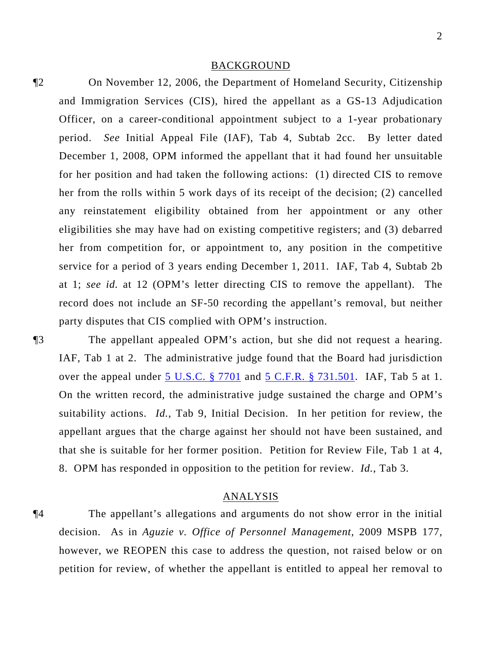#### BACKGROUND

¶2 On November 12, 2006, the Department of Homeland Security, Citizenship and Immigration Services (CIS), hired the appellant as a GS-13 Adjudication Officer, on a career-conditional appointment subject to a 1-year probationary period. *See* Initial Appeal File (IAF), Tab 4, Subtab 2cc. By letter dated December 1, 2008, OPM informed the appellant that it had found her unsuitable for her position and had taken the following actions: (1) directed CIS to remove her from the rolls within 5 work days of its receipt of the decision; (2) cancelled any reinstatement eligibility obtained from her appointment or any other eligibilities she may have had on existing competitive registers; and (3) debarred her from competition for, or appointment to, any position in the competitive service for a period of 3 years ending December 1, 2011. IAF, Tab 4, Subtab 2b at 1; *see id.* at 12 (OPM's letter directing CIS to remove the appellant). The record does not include an SF-50 recording the appellant's removal, but neither party disputes that CIS complied with OPM's instruction.

¶3 The appellant appealed OPM's action, but she did not request a hearing. IAF, Tab 1 at 2. The administrative judge found that the Board had jurisdiction over the appeal under [5 U.S.C. § 7701](http://www.law.cornell.edu/uscode/5/7701.html) and [5 C.F.R. § 731.501](http://frwebgate.access.gpo.gov/cgi-bin/get-cfr.cgi?YEAR=current&TITLE=5&PART=731&SECTION=501&TYPE=PDF). IAF, Tab 5 at 1. On the written record, the administrative judge sustained the charge and OPM's suitability actions. *Id.*, Tab 9, Initial Decision. In her petition for review, the appellant argues that the charge against her should not have been sustained, and that she is suitable for her former position. Petition for Review File, Tab 1 at 4, 8. OPM has responded in opposition to the petition for review. *Id.*, Tab 3.

#### ANALYSIS

¶4 The appellant's allegations and arguments do not show error in the initial decision. As in *Aguzie v. Office of Personnel Management*, 2009 MSPB 177, however, we REOPEN this case to address the question, not raised below or on petition for review, of whether the appellant is entitled to appeal her removal to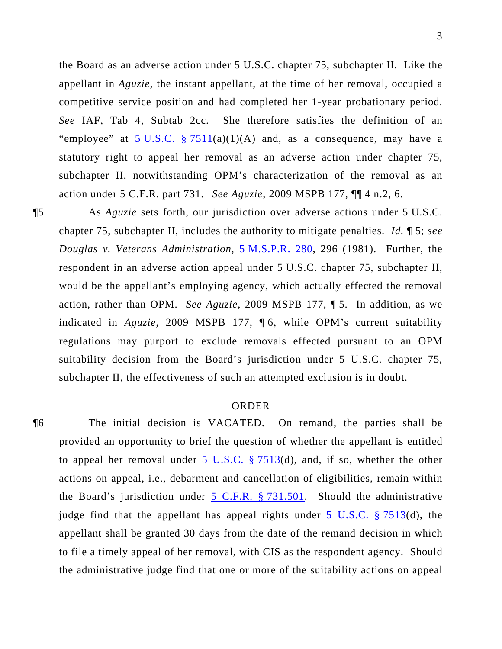the Board as an adverse action under 5 U.S.C. chapter 75, subchapter II. Like the appellant in *Aguzie*, the instant appellant, at the time of her removal, occupied a competitive service position and had completed her 1-year probationary period. *See* IAF, Tab 4, Subtab 2cc. She therefore satisfies the definition of an "employee" at  $5 \text{ U.S.C. } \frac{2511}{a}(1)(A)$  and, as a consequence, may have a statutory right to appeal her removal as an adverse action under chapter 75, subchapter II, notwithstanding OPM's characterization of the removal as an action under 5 C.F.R. part 731. *See Aguzie*, 2009 MSPB 177, ¶¶ 4 n.2, 6.

¶5 As *Aguzie* sets forth, our jurisdiction over adverse actions under 5 U.S.C. chapter 75, subchapter II, includes the authority to mitigate penalties. *Id.* ¶ 5; *see Douglas v. Veterans Administration*, [5 M.S.P.R. 280,](http://www.mspb.gov/netsearch/getdecision.aspx?volume=5&page=280) 296 (1981). Further, the respondent in an adverse action appeal under 5 U.S.C. chapter 75, subchapter II, would be the appellant's employing agency, which actually effected the removal action, rather than OPM. *See Aguzie*, 2009 MSPB 177, ¶ 5. In addition, as we indicated in *Aguzie*, 2009 MSPB 177, ¶ 6, while OPM's current suitability regulations may purport to exclude removals effected pursuant to an OPM suitability decision from the Board's jurisdiction under 5 U.S.C. chapter 75, subchapter II, the effectiveness of such an attempted exclusion is in doubt.

### ORDER

¶6 The initial decision is VACATED. On remand, the parties shall be provided an opportunity to brief the question of whether the appellant is entitled to appeal her removal under  $5 \text{ U.S.C. }$  § 7513(d), and, if so, whether the other actions on appeal, i.e., debarment and cancellation of eligibilities, remain within the Board's jurisdiction under  $5$  C.F.R.  $\S$  731.501. Should the administrative judge find that the appellant has appeal rights under [5 U.S.C. § 7513\(](http://www.law.cornell.edu/uscode/5/7513.html)d), the appellant shall be granted 30 days from the date of the remand decision in which to file a timely appeal of her removal, with CIS as the respondent agency. Should the administrative judge find that one or more of the suitability actions on appeal